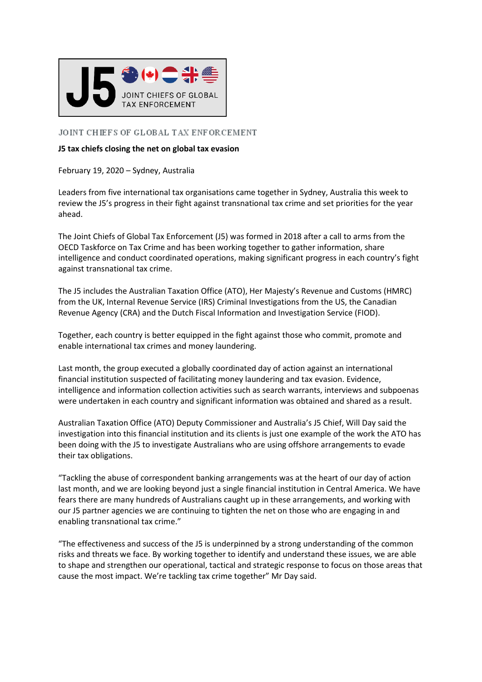

## JOINT CHIEFS OF GLOBAL TAX ENFORCEMENT

## **J5 tax chiefs closing the net on global tax evasion**

February 19, 2020 – Sydney, Australia

Leaders from five international tax organisations came together in Sydney, Australia this week to review the J5's progress in their fight against transnational tax crime and set priorities for the year ahead.

The Joint Chiefs of Global Tax Enforcement (J5) was formed in 2018 after a call to arms from the OECD Taskforce on Tax Crime and has been working together to gather information, share intelligence and conduct coordinated operations, making significant progress in each country's fight against transnational tax crime.

The J5 includes the Australian Taxation Office (ATO), Her Majesty's Revenue and Customs (HMRC) from the UK, Internal Revenue Service (IRS) Criminal Investigations from the US, the Canadian Revenue Agency (CRA) and the Dutch Fiscal Information and Investigation Service (FIOD).

Together, each country is better equipped in the fight against those who commit, promote and enable international tax crimes and money laundering.

Last month, the group executed a globally coordinated day of action against an international financial institution suspected of facilitating money laundering and tax evasion. Evidence, intelligence and information collection activities such as search warrants, interviews and subpoenas were undertaken in each country and significant information was obtained and shared as a result.

Australian Taxation Office (ATO) Deputy Commissioner and Australia's J5 Chief, Will Day said the investigation into this financial institution and its clients is just one example of the work the ATO has been doing with the J5 to investigate Australians who are using offshore arrangements to evade their tax obligations.

"Tackling the abuse of correspondent banking arrangements was at the heart of our day of action last month, and we are looking beyond just a single financial institution in Central America. We have fears there are many hundreds of Australians caught up in these arrangements, and working with our J5 partner agencies we are continuing to tighten the net on those who are engaging in and enabling transnational tax crime."

"The effectiveness and success of the J5 is underpinned by a strong understanding of the common risks and threats we face. By working together to identify and understand these issues, we are able to shape and strengthen our operational, tactical and strategic response to focus on those areas that cause the most impact. We're tackling tax crime together" Mr Day said.